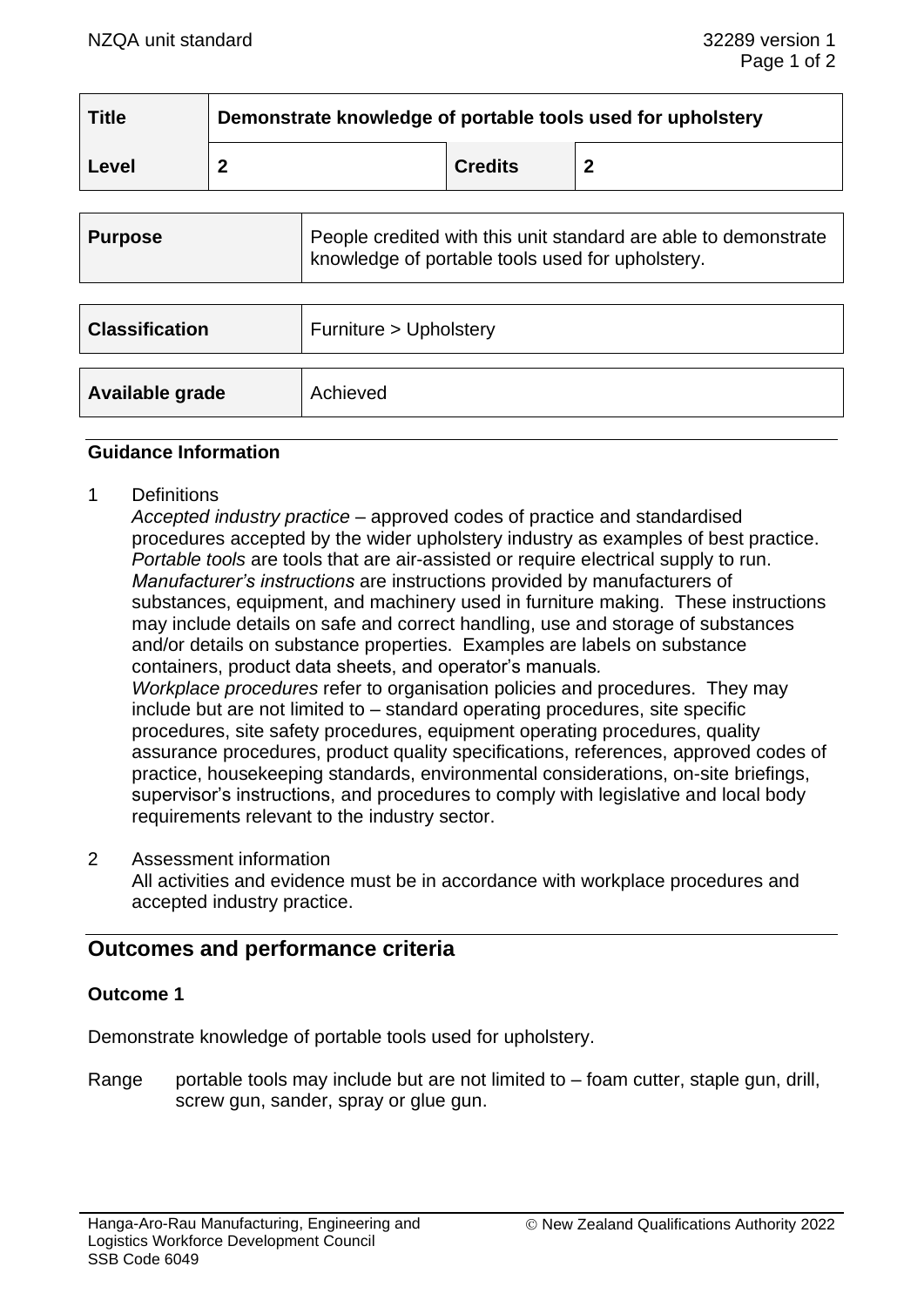| <b>Title</b> | Demonstrate knowledge of portable tools used for upholstery |                |  |
|--------------|-------------------------------------------------------------|----------------|--|
| Level        |                                                             | <b>Credits</b> |  |

| <b>Purpose</b>        | People credited with this unit standard are able to demonstrate<br>knowledge of portable tools used for upholstery. |
|-----------------------|---------------------------------------------------------------------------------------------------------------------|
|                       |                                                                                                                     |
| <b>Classification</b> | Furniture > Upholstery                                                                                              |
|                       |                                                                                                                     |
| Available grade       | Achieved                                                                                                            |

### **Guidance Information**

1 Definitions

*Accepted industry practice* – approved codes of practice and standardised procedures accepted by the wider upholstery industry as examples of best practice. *Portable tools* are tools that are air-assisted or require electrical supply to run. *Manufacturer's instructions* are instructions provided by manufacturers of substances, equipment, and machinery used in furniture making. These instructions may include details on safe and correct handling, use and storage of substances and/or details on substance properties. Examples are labels on substance containers, product data sheets, and operator's manuals*. Workplace procedures* refer to organisation policies and procedures. They may include but are not limited to – standard operating procedures, site specific procedures, site safety procedures, equipment operating procedures, quality assurance procedures, product quality specifications, references, approved codes of practice, housekeeping standards, environmental considerations, on-site briefings, supervisor's instructions, and procedures to comply with legislative and local body requirements relevant to the industry sector.

2 Assessment information

All activities and evidence must be in accordance with workplace procedures and accepted industry practice.

# **Outcomes and performance criteria**

#### **Outcome 1**

Demonstrate knowledge of portable tools used for upholstery.

Range portable tools may include but are not limited to  $-$  foam cutter, staple gun, drill, screw gun, sander, spray or glue gun.